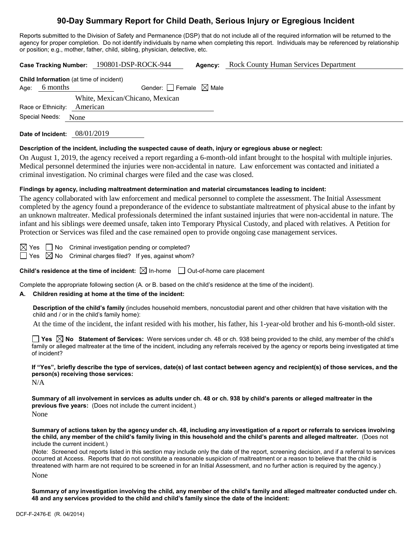# **90-Day Summary Report for Child Death, Serious Injury or Egregious Incident**

Reports submitted to the Division of Safety and Permanence (DSP) that do not include all of the required information will be returned to the agency for proper completion. Do not identify individuals by name when completing this report. Individuals may be referenced by relationship or position; e.g., mother, father, child, sibling, physician, detective, etc.

| <b>Rock County Human Services Department</b><br>Case Tracking Number: 190801-DSP-ROCK-944<br>Agency:                                                                                                                                                                                                                                                                                                                                                                                                                                                                                                                                                                                                                                       |  |  |  |  |  |  |
|--------------------------------------------------------------------------------------------------------------------------------------------------------------------------------------------------------------------------------------------------------------------------------------------------------------------------------------------------------------------------------------------------------------------------------------------------------------------------------------------------------------------------------------------------------------------------------------------------------------------------------------------------------------------------------------------------------------------------------------------|--|--|--|--|--|--|
| Child Information (at time of incident)<br>Age: 6 months<br>Gender: $\Box$ Female $\boxtimes$ Male                                                                                                                                                                                                                                                                                                                                                                                                                                                                                                                                                                                                                                         |  |  |  |  |  |  |
| White, Mexican/Chicano, Mexican<br>American<br>Race or Ethnicity:<br>Special Needs:                                                                                                                                                                                                                                                                                                                                                                                                                                                                                                                                                                                                                                                        |  |  |  |  |  |  |
| None                                                                                                                                                                                                                                                                                                                                                                                                                                                                                                                                                                                                                                                                                                                                       |  |  |  |  |  |  |
| Date of Incident: 08/01/2019                                                                                                                                                                                                                                                                                                                                                                                                                                                                                                                                                                                                                                                                                                               |  |  |  |  |  |  |
| Description of the incident, including the suspected cause of death, injury or egregious abuse or neglect:<br>On August 1, 2019, the agency received a report regarding a 6-month-old infant brought to the hospital with multiple injuries.<br>Medical personnel determined the injuries were non-accidental in nature. Law enforcement was contacted and initiated a<br>criminal investigation. No criminal charges were filed and the case was closed.                                                                                                                                                                                                                                                                                  |  |  |  |  |  |  |
| Findings by agency, including maltreatment determination and material circumstances leading to incident:                                                                                                                                                                                                                                                                                                                                                                                                                                                                                                                                                                                                                                   |  |  |  |  |  |  |
| The agency collaborated with law enforcement and medical personnel to complete the assessment. The Initial Assessment<br>completed by the agency found a preponderance of the evidence to substantiate maltreatment of physical abuse to the infant by<br>an unknown maltreater. Medical professionals determined the infant sustained injuries that were non-accidental in nature. The<br>infant and his siblings were deemed unsafe, taken into Temporary Physical Custody, and placed with relatives. A Petition for<br>Protection or Services was filed and the case remained open to provide ongoing case management services.                                                                                                        |  |  |  |  |  |  |
| $\boxtimes$ Yes<br>No<br>Criminal investigation pending or completed?<br>$\boxtimes$ No<br>Criminal charges filed? If yes, against whom?<br>  Yes                                                                                                                                                                                                                                                                                                                                                                                                                                                                                                                                                                                          |  |  |  |  |  |  |
| Child's residence at the time of incident: $\boxtimes$ In-home $\Box$ Out-of-home care placement                                                                                                                                                                                                                                                                                                                                                                                                                                                                                                                                                                                                                                           |  |  |  |  |  |  |
| Complete the appropriate following section (A. or B. based on the child's residence at the time of the incident).<br>Children residing at home at the time of the incident:<br>А.                                                                                                                                                                                                                                                                                                                                                                                                                                                                                                                                                          |  |  |  |  |  |  |
| Description of the child's family (includes household members, noncustodial parent and other children that have visitation with the<br>child and / or in the child's family home):                                                                                                                                                                                                                                                                                                                                                                                                                                                                                                                                                         |  |  |  |  |  |  |
| At the time of the incident, the infant resided with his mother, his father, his 1-year-old brother and his 6-month-old sister.                                                                                                                                                                                                                                                                                                                                                                                                                                                                                                                                                                                                            |  |  |  |  |  |  |
| Yes $\boxtimes$ No Statement of Services: Were services under ch. 48 or ch. 938 being provided to the child, any member of the child's<br>family or alleged maltreater at the time of the incident, including any referrals received by the agency or reports being investigated at time<br>of incident?                                                                                                                                                                                                                                                                                                                                                                                                                                   |  |  |  |  |  |  |
| If "Yes", briefly describe the type of services, date(s) of last contact between agency and recipient(s) of those services, and the<br>person(s) receiving those services:<br>N/A                                                                                                                                                                                                                                                                                                                                                                                                                                                                                                                                                          |  |  |  |  |  |  |
| Summary of all involvement in services as adults under ch. 48 or ch. 938 by child's parents or alleged maltreater in the<br><b>previous five years:</b> (Does not include the current incident.)<br>None                                                                                                                                                                                                                                                                                                                                                                                                                                                                                                                                   |  |  |  |  |  |  |
| Summary of actions taken by the agency under ch. 48, including any investigation of a report or referrals to services involving<br>the child, any member of the child's family living in this household and the child's parents and alleged maltreater. (Does not<br>include the current incident.)<br>(Note: Screened out reports listed in this section may include only the date of the report, screening decision, and if a referral to services<br>occurred at Access. Reports that do not constitute a reasonable suspicion of maltreatment or a reason to believe that the child is<br>threatened with harm are not required to be screened in for an Initial Assessment, and no further action is required by the agency.)<br>None |  |  |  |  |  |  |

**Summary of any investigation involving the child, any member of the child's family and alleged maltreater conducted under ch. 48 and any services provided to the child and child's family since the date of the incident:**